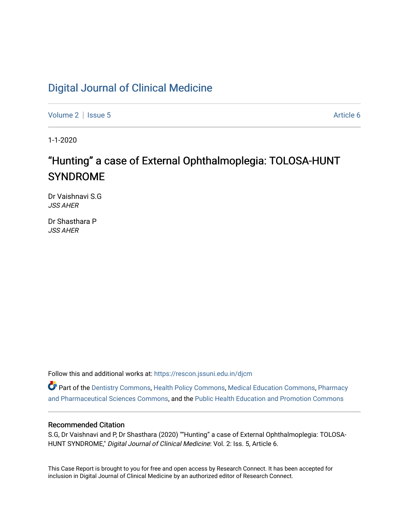# [Digital Journal of Clinical Medicine](https://rescon.jssuni.edu.in/djcm)

[Volume 2](https://rescon.jssuni.edu.in/djcm/vol2) | [Issue 5](https://rescon.jssuni.edu.in/djcm/vol2/iss5) Article 6

1-1-2020

# "Hunting" a case of External Ophthalmoplegia: TOLOSA-HUNT SYNDROME

Dr Vaishnavi S.G JSS AHER

Dr Shasthara P JSS AHER

Follow this and additional works at: [https://rescon.jssuni.edu.in/djcm](https://rescon.jssuni.edu.in/djcm?utm_source=rescon.jssuni.edu.in%2Fdjcm%2Fvol2%2Fiss5%2F6&utm_medium=PDF&utm_campaign=PDFCoverPages) 

Part of the [Dentistry Commons,](http://network.bepress.com/hgg/discipline/651?utm_source=rescon.jssuni.edu.in%2Fdjcm%2Fvol2%2Fiss5%2F6&utm_medium=PDF&utm_campaign=PDFCoverPages) [Health Policy Commons,](http://network.bepress.com/hgg/discipline/395?utm_source=rescon.jssuni.edu.in%2Fdjcm%2Fvol2%2Fiss5%2F6&utm_medium=PDF&utm_campaign=PDFCoverPages) [Medical Education Commons,](http://network.bepress.com/hgg/discipline/1125?utm_source=rescon.jssuni.edu.in%2Fdjcm%2Fvol2%2Fiss5%2F6&utm_medium=PDF&utm_campaign=PDFCoverPages) [Pharmacy](http://network.bepress.com/hgg/discipline/731?utm_source=rescon.jssuni.edu.in%2Fdjcm%2Fvol2%2Fiss5%2F6&utm_medium=PDF&utm_campaign=PDFCoverPages) [and Pharmaceutical Sciences Commons,](http://network.bepress.com/hgg/discipline/731?utm_source=rescon.jssuni.edu.in%2Fdjcm%2Fvol2%2Fiss5%2F6&utm_medium=PDF&utm_campaign=PDFCoverPages) and the [Public Health Education and Promotion Commons](http://network.bepress.com/hgg/discipline/743?utm_source=rescon.jssuni.edu.in%2Fdjcm%2Fvol2%2Fiss5%2F6&utm_medium=PDF&utm_campaign=PDFCoverPages) 

#### Recommended Citation

S.G, Dr Vaishnavi and P, Dr Shasthara (2020) ""Hunting" a case of External Ophthalmoplegia: TOLOSA-HUNT SYNDROME," Digital Journal of Clinical Medicine: Vol. 2: Iss. 5, Article 6.

This Case Report is brought to you for free and open access by Research Connect. It has been accepted for inclusion in Digital Journal of Clinical Medicine by an authorized editor of Research Connect.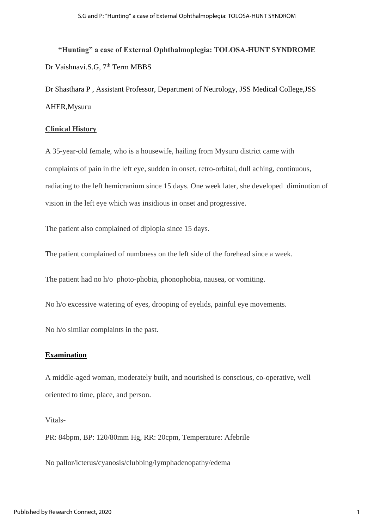**"Hunting" a case of External Ophthalmoplegia: TOLOSA-HUNT SYNDROME** Dr Vaishnavi.S.G, 7<sup>th</sup> Term MBBS

Dr Shasthara P , Assistant Professor, Department of Neurology, JSS Medical College,JSS AHER,Mysuru

#### **Clinical History**

A 35-year-old female, who is a housewife, hailing from Mysuru district came with complaints of pain in the left eye, sudden in onset, retro-orbital, dull aching, continuous, radiating to the left hemicranium since 15 days. One week later, she developed diminution of vision in the left eye which was insidious in onset and progressive.

The patient also complained of diplopia since 15 days.

The patient complained of numbness on the left side of the forehead since a week.

The patient had no h/o photo-phobia, phonophobia, nausea, or vomiting.

No h/o excessive watering of eyes, drooping of eyelids, painful eye movements.

No h/o similar complaints in the past.

### **Examination**

A middle-aged woman, moderately built, and nourished is conscious, co-operative, well oriented to time, place, and person.

Vitals-

PR: 84bpm, BP: 120/80mm Hg, RR: 20cpm, Temperature: Afebrile

No pallor/icterus/cyanosis/clubbing/lymphadenopathy/edema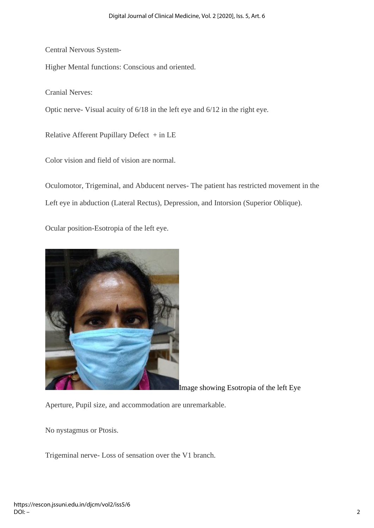Central Nervous System-

Higher Mental functions: Conscious and oriented.

Cranial Nerves:

Optic nerve- Visual acuity of 6/18 in the left eye and 6/12 in the right eye.

Relative Afferent Pupillary Defect + in LE

Color vision and field of vision are normal.

Oculomotor, Trigeminal, and Abducent nerves- The patient has restricted movement in the Left eye in abduction (Lateral Rectus), Depression, and Intorsion (Superior Oblique).

Ocular position-Esotropia of the left eye.



Image showing Esotropia of the left Eye

Aperture, Pupil size, and accommodation are unremarkable.

No nystagmus or Ptosis.

Trigeminal nerve- Loss of sensation over the V1 branch.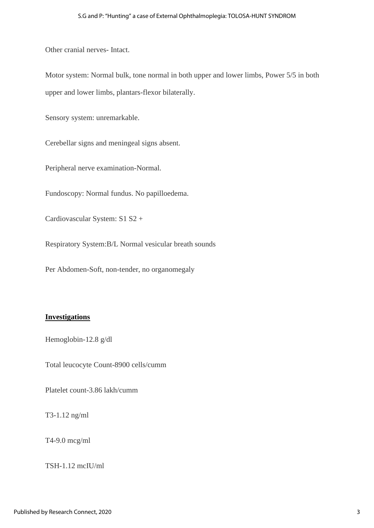Other cranial nerves- Intact.

Motor system: Normal bulk, tone normal in both upper and lower limbs, Power 5/5 in both upper and lower limbs, plantars-flexor bilaterally.

Sensory system: unremarkable.

Cerebellar signs and meningeal signs absent.

Peripheral nerve examination-Normal.

Fundoscopy: Normal fundus. No papilloedema.

Cardiovascular System: S1 S2 +

Respiratory System:B/L Normal vesicular breath sounds

Per Abdomen-Soft, non-tender, no organomegaly

## **Investigations**

Hemoglobin-12.8 g/dl

Total leucocyte Count-8900 cells/cumm

Platelet count-3.86 lakh/cumm

T3-1.12 ng/ml

T4-9.0 mcg/ml

TSH-1.12 mcIU/ml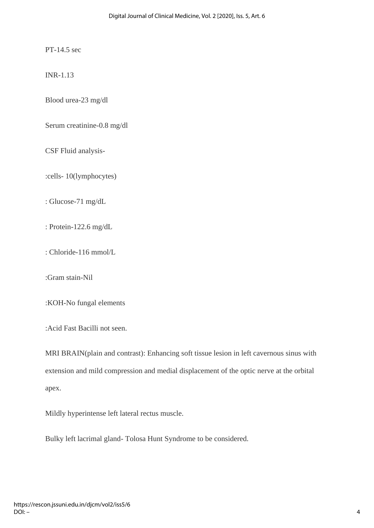PT-14.5 sec

INR-1.13

Blood urea-23 mg/dl

Serum creatinine-0.8 mg/dl

CSF Fluid analysis-

:cells- 10(lymphocytes)

: Glucose-71 mg/dL

: Protein-122.6 mg/dL

: Chloride-116 mmol/L

:Gram stain-Nil

:KOH-No fungal elements

:Acid Fast Bacilli not seen.

MRI BRAIN(plain and contrast): Enhancing soft tissue lesion in left cavernous sinus with extension and mild compression and medial displacement of the optic nerve at the orbital apex.

Mildly hyperintense left lateral rectus muscle.

Bulky left lacrimal gland- Tolosa Hunt Syndrome to be considered.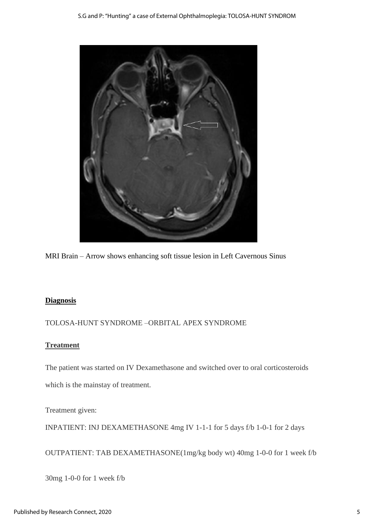

MRI Brain – Arrow shows enhancing soft tissue lesion in Left Cavernous Sinus

# **Diagnosis**

### TOLOSA-HUNT SYNDROME –ORBITAL APEX SYNDROME

### **Treatment**

The patient was started on IV Dexamethasone and switched over to oral corticosteroids which is the mainstay of treatment.

Treatment given:

INPATIENT: INJ DEXAMETHASONE 4mg IV 1-1-1 for 5 days f/b 1-0-1 for 2 days

OUTPATIENT: TAB DEXAMETHASONE(1mg/kg body wt) 40mg 1-0-0 for 1 week f/b

30mg 1-0-0 for 1 week f/b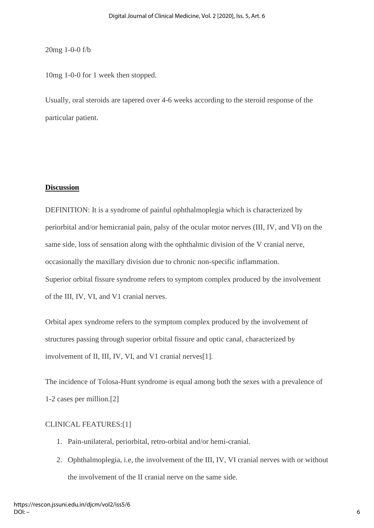#### 20mg 1-0-0 f/b

10mg 1-0-0 for 1 week then stopped.

Usually, oral steroids are tapered over 4-6 weeks according to the steroid response of the particular patient.

#### **Discussion**

DEFINITION: It is a syndrome of painful ophthalmoplegia which is characterized by periorbital and/or hemicranial pain, palsy of the ocular motor nerves (III, IV, and VI) on the same side, loss of sensation along with the ophthalmic division of the V cranial nerve, occasionally the maxillary division due to chronic non-specific inflammation. Superior orbital fissure syndrome refers to symptom complex produced by the involvement of the III, IV, VI, and V1 cranial nerves.

Orbital apex syndrome refers to the symptom complex produced by the involvement of structures passing through superior orbital fissure and optic canal, characterized by involvement of II, III, IV, VI, and V1 cranial nerves[1].

The incidence of Tolosa-Hunt syndrome is equal among both the sexes with a prevalence of 1-2 cases per million.[2]

### CLINICAL FEATURES:[1]

- 1. Pain-unilateral, periorbital, retro-orbital and/or hemi-cranial.
- 2. Ophthalmoplegia, i.e, the involvement of the III, IV, VI cranial nerves with or without the involvement of the II cranial nerve on the same side.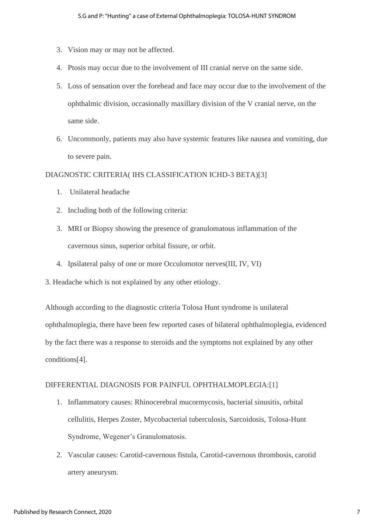- 3. Vision may or may not be affected.
- 4. Ptosis may occur due to the involvement of III cranial nerve on the same side.
- 5. Loss of sensation over the forehead and face may occur due to the involvement of the ophthalmic division, occasionally maxillary division of the V cranial nerve, on the same side.
- 6. Uncommonly, patients may also have systemic features like nausea and vomiting, due to severe pain.

# DIAGNOSTIC CRITERIA( IHS CLASSIFICATION ICHD-3 BETA)[3]

- 1. Unilateral headache
- 2. Including both of the following criteria:
- 3. MRI or Biopsy showing the presence of granulomatous inflammation of the cavernous sinus, superior orbital fissure, or orbit.
- 4. Ipsilateral palsy of one or more Occulomotor nerves(III, IV, VI)
- 3. Headache which is not explained by any other etiology.

Although according to the diagnostic criteria Tolosa Hunt syndrome is unilateral ophthalmoplegia, there have been few reported cases of bilateral ophthalmoplegia, evidenced by the fact there was a response to steroids and the symptoms not explained by any other conditions[4].

### DIFFERENTIAL DIAGNOSIS FOR PAINFUL OPHTHALMOPLEGIA:[1]

- 1. Inflammatory causes: Rhinocerebral mucormycosis, bacterial sinusitis, orbital cellulitis, Herpes Zoster, Mycobacterial tuberculosis, Sarcoidosis, Tolosa-Hunt Syndrome, Wegener's Granulomatosis.
- 2. Vascular causes: Carotid-cavernous fistula, Carotid-cavernous thrombosis, carotid artery aneurysm.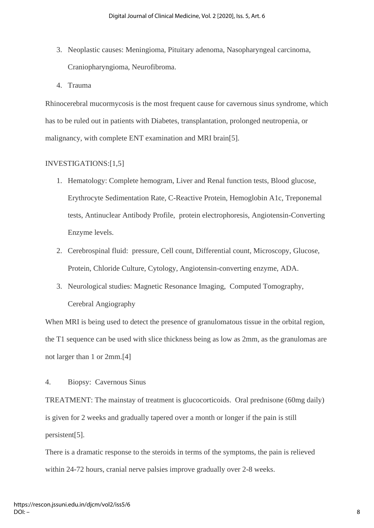- 3. Neoplastic causes: Meningioma, Pituitary adenoma, Nasopharyngeal carcinoma, Craniopharyngioma, Neurofibroma.
- 4. Trauma

Rhinocerebral mucormycosis is the most frequent cause for cavernous sinus syndrome, which has to be ruled out in patients with Diabetes, transplantation, prolonged neutropenia, or malignancy, with complete ENT examination and MRI brain[5].

# INVESTIGATIONS:[1,5]

- 1. Hematology: Complete hemogram, Liver and Renal function tests, Blood glucose, Erythrocyte Sedimentation Rate, C-Reactive Protein, Hemoglobin A1c, Treponemal tests, Antinuclear Antibody Profile, protein electrophoresis, Angiotensin-Converting Enzyme levels.
- 2. Cerebrospinal fluid: pressure, Cell count, Differential count, Microscopy, Glucose, Protein, Chloride Culture, Cytology, Angiotensin-converting enzyme, ADA.
- 3. Neurological studies: Magnetic Resonance Imaging, Computed Tomography, Cerebral Angiography

When MRI is being used to detect the presence of granulomatous tissue in the orbital region, the T1 sequence can be used with slice thickness being as low as 2mm, as the granulomas are not larger than 1 or 2mm.[4]

4. Biopsy: Cavernous Sinus

TREATMENT: The mainstay of treatment is glucocorticoids. Oral prednisone (60mg daily) is given for 2 weeks and gradually tapered over a month or longer if the pain is still persistent[5].

There is a dramatic response to the steroids in terms of the symptoms, the pain is relieved within 24-72 hours, cranial nerve palsies improve gradually over 2-8 weeks.